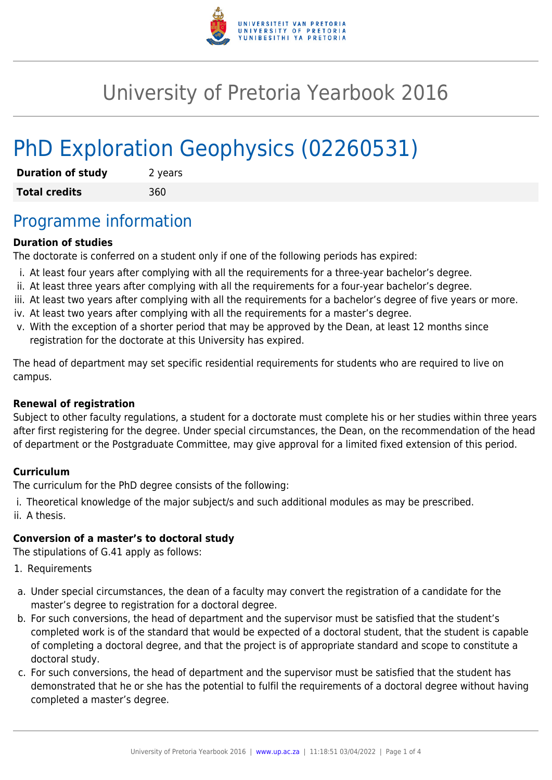

# University of Pretoria Yearbook 2016

# PhD Exploration Geophysics (02260531)

| <b>Duration of study</b> | 2 years |
|--------------------------|---------|
| <b>Total credits</b>     | 360     |

### Programme information

#### **Duration of studies**

The doctorate is conferred on a student only if one of the following periods has expired:

- i. At least four years after complying with all the requirements for a three-year bachelor's degree.
- ii. At least three years after complying with all the requirements for a four-year bachelor's degree.
- iii. At least two years after complying with all the requirements for a bachelor's degree of five years or more.
- iv. At least two years after complying with all the requirements for a master's degree.
- v. With the exception of a shorter period that may be approved by the Dean, at least 12 months since registration for the doctorate at this University has expired.

The head of department may set specific residential requirements for students who are required to live on campus.

#### **Renewal of registration**

Subject to other faculty regulations, a student for a doctorate must complete his or her studies within three years after first registering for the degree. Under special circumstances, the Dean, on the recommendation of the head of department or the Postgraduate Committee, may give approval for a limited fixed extension of this period.

#### **Curriculum**

The curriculum for the PhD degree consists of the following:

i. Theoretical knowledge of the major subject/s and such additional modules as may be prescribed. ii. A thesis.

#### **Conversion of a master's to doctoral study**

The stipulations of G.41 apply as follows:

- 1. Requirements
- a. Under special circumstances, the dean of a faculty may convert the registration of a candidate for the master's degree to registration for a doctoral degree.
- b. For such conversions, the head of department and the supervisor must be satisfied that the student's completed work is of the standard that would be expected of a doctoral student, that the student is capable of completing a doctoral degree, and that the project is of appropriate standard and scope to constitute a doctoral study.
- c. For such conversions, the head of department and the supervisor must be satisfied that the student has demonstrated that he or she has the potential to fulfil the requirements of a doctoral degree without having completed a master's degree.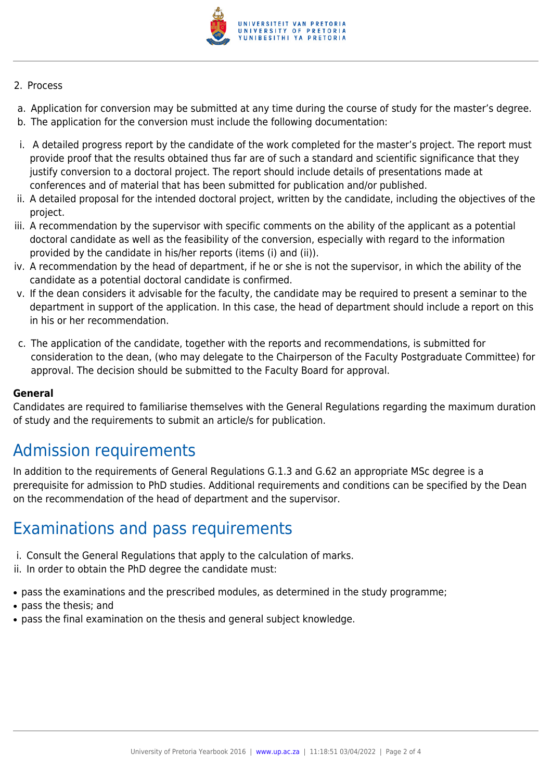

#### 2. Process

- a. Application for conversion may be submitted at any time during the course of study for the master's degree.
- b. The application for the conversion must include the following documentation:
- i. A detailed progress report by the candidate of the work completed for the master's project. The report must provide proof that the results obtained thus far are of such a standard and scientific significance that they justify conversion to a doctoral project. The report should include details of presentations made at conferences and of material that has been submitted for publication and/or published.
- ii. A detailed proposal for the intended doctoral project, written by the candidate, including the objectives of the project.
- iii. A recommendation by the supervisor with specific comments on the ability of the applicant as a potential doctoral candidate as well as the feasibility of the conversion, especially with regard to the information provided by the candidate in his/her reports (items (i) and (ii)).
- iv. A recommendation by the head of department, if he or she is not the supervisor, in which the ability of the candidate as a potential doctoral candidate is confirmed.
- v. If the dean considers it advisable for the faculty, the candidate may be required to present a seminar to the department in support of the application. In this case, the head of department should include a report on this in his or her recommendation.
- c. The application of the candidate, together with the reports and recommendations, is submitted for consideration to the dean, (who may delegate to the Chairperson of the Faculty Postgraduate Committee) for approval. The decision should be submitted to the Faculty Board for approval.

#### **General**

Candidates are required to familiarise themselves with the General Regulations regarding the maximum duration of study and the requirements to submit an article/s for publication.

## Admission requirements

In addition to the requirements of General Regulations G.1.3 and G.62 an appropriate MSc degree is a prerequisite for admission to PhD studies. Additional requirements and conditions can be specified by the Dean on the recommendation of the head of department and the supervisor.

### Examinations and pass requirements

- i. Consult the General Regulations that apply to the calculation of marks.
- ii. In order to obtain the PhD degree the candidate must:
- pass the examinations and the prescribed modules, as determined in the study programme;
- pass the thesis: and
- pass the final examination on the thesis and general subject knowledge.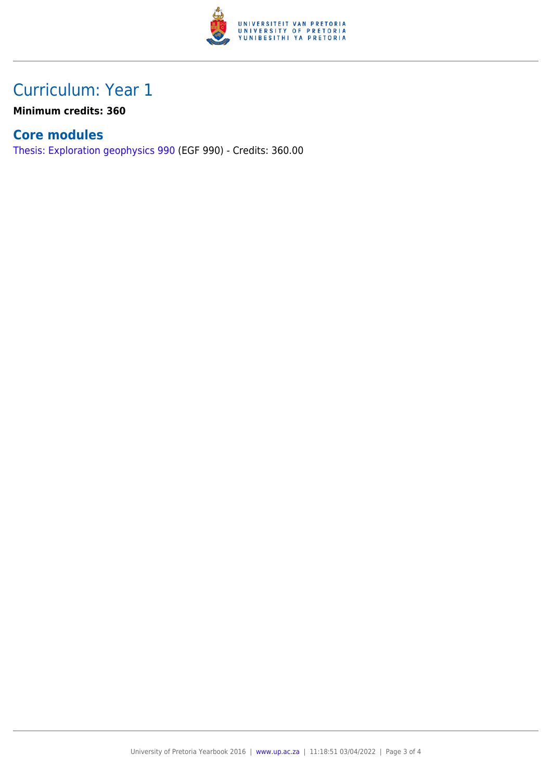

## Curriculum: Year 1

**Minimum credits: 360**

### **Core modules**

[Thesis: Exploration geophysics 990](https://www.up.ac.za/yearbooks/2016/modules/view/EGF 990) (EGF 990) - Credits: 360.00